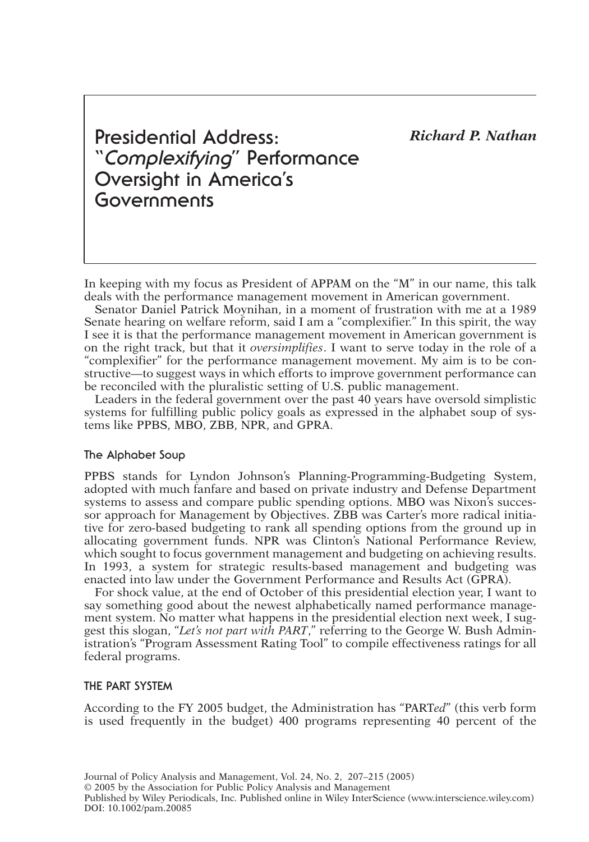# **Presidential Address:** *Richard P. Nathan*  **"Complexifying" Performance Oversight in America's Governments**

In keeping with my focus as President of APPAM on the "M" in our name, this talk deals with the performance management movement in American government.

Senator Daniel Patrick Moynihan, in a moment of frustration with me at a 1989 Senate hearing on welfare reform, said I am a "complexifier." In this spirit, the way I see it is that the performance management movement in American government is on the right track, but that it *oversimplifies*. I want to serve today in the role of a "complexifier" for the performance management movement. My aim is to be constructive—to suggest ways in which efforts to improve government performance can be reconciled with the pluralistic setting of U.S. public management.

Leaders in the federal government over the past 40 years have oversold simplistic systems for fulfilling public policy goals as expressed in the alphabet soup of systems like PPBS, MBO, ZBB, NPR, and GPRA.

#### **The Alphabet Soup**

PPBS stands for Lyndon Johnson's Planning-Programming-Budgeting System, adopted with much fanfare and based on private industry and Defense Department systems to assess and compare public spending options. MBO was Nixon's successor approach for Management by Objectives. ZBB was Carter's more radical initiative for zero-based budgeting to rank all spending options from the ground up in allocating government funds. NPR was Clinton's National Performance Review, which sought to focus government management and budgeting on achieving results. In 1993, a system for strategic results-based management and budgeting was enacted into law under the Government Performance and Results Act (GPRA).

For shock value, at the end of October of this presidential election year, I want to say something good about the newest alphabetically named performance management system. No matter what happens in the presidential election next week, I suggest this slogan, "*Let's not part with PART*," referring to the George W. Bush Administration's "Program Assessment Rating Tool" to compile effectiveness ratings for all federal programs.

# **THE PART SYSTEM**

According to the FY 2005 budget, the Administration has "PART*ed*" (this verb form is used frequently in the budget) 400 programs representing 40 percent of the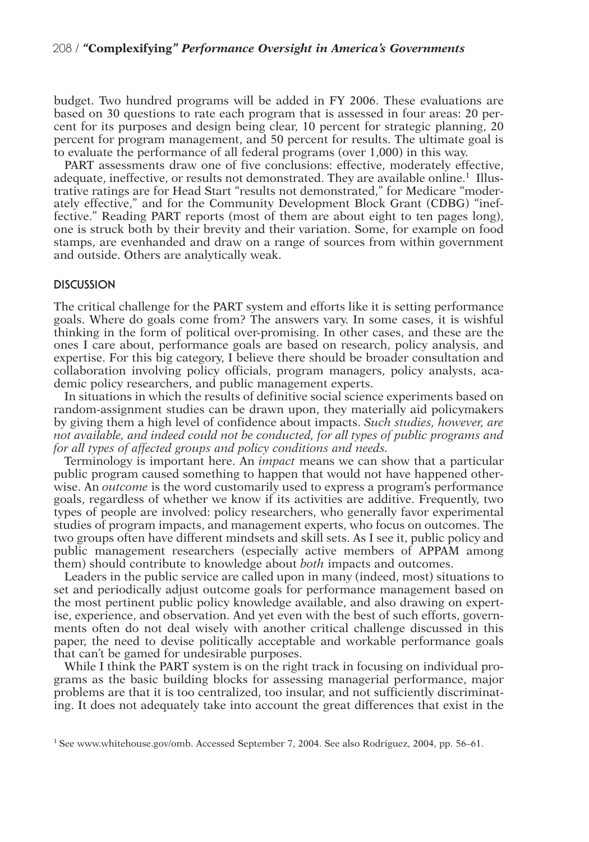budget. Two hundred programs will be added in FY 2006. These evaluations are based on 30 questions to rate each program that is assessed in four areas: 20 percent for its purposes and design being clear, 10 percent for strategic planning, 20 percent for program management, and 50 percent for results. The ultimate goal is to evaluate the performance of all federal programs (over 1,000) in this way.

PART assessments draw one of five conclusions: effective, moderately effective, adequate, ineffective, or results not demonstrated. They are available online.<sup>1</sup> Illustrative ratings are for Head Start "results not demonstrated," for Medicare "moderately effective," and for the Community Development Block Grant (CDBG) "ineffective." Reading PART reports (most of them are about eight to ten pages long), one is struck both by their brevity and their variation. Some, for example on food stamps, are evenhanded and draw on a range of sources from within government and outside. Others are analytically weak.

#### **DISCUSSION**

The critical challenge for the PART system and efforts like it is setting performance goals. Where do goals come from? The answers vary. In some cases, it is wishful thinking in the form of political over-promising. In other cases, and these are the ones I care about, performance goals are based on research, policy analysis, and expertise. For this big category, I believe there should be broader consultation and collaboration involving policy officials, program managers, policy analysts, academic policy researchers, and public management experts.

In situations in which the results of definitive social science experiments based on random-assignment studies can be drawn upon, they materially aid policymakers by giving them a high level of confidence about impacts. *Such studies, however, are not available, and indeed could not be conducted, for all types of public programs and for all types of affected groups and policy conditions and needs.*

Terminology is important here. An *impact* means we can show that a particular public program caused something to happen that would not have happened otherwise. An *outcome* is the word customarily used to express a program's performance goals, regardless of whether we know if its activities are additive. Frequently, two types of people are involved: policy researchers, who generally favor experimental studies of program impacts, and management experts, who focus on outcomes. The two groups often have different mindsets and skill sets. As I see it, public policy and public management researchers (especially active members of APPAM among them) should contribute to knowledge about *both* impacts and outcomes.

Leaders in the public service are called upon in many (indeed, most) situations to set and periodically adjust outcome goals for performance management based on the most pertinent public policy knowledge available, and also drawing on expertise, experience, and observation. And yet even with the best of such efforts, governments often do not deal wisely with another critical challenge discussed in this paper, the need to devise politically acceptable and workable performance goals that can't be gamed for undesirable purposes.

While I think the PART system is on the right track in focusing on individual programs as the basic building blocks for assessing managerial performance, major problems are that it is too centralized, too insular, and not sufficiently discriminating. It does not adequately take into account the great differences that exist in the

1 See www.whitehouse.gov/omb. Accessed September 7, 2004. See also Rodriguez, 2004, pp. 56–61.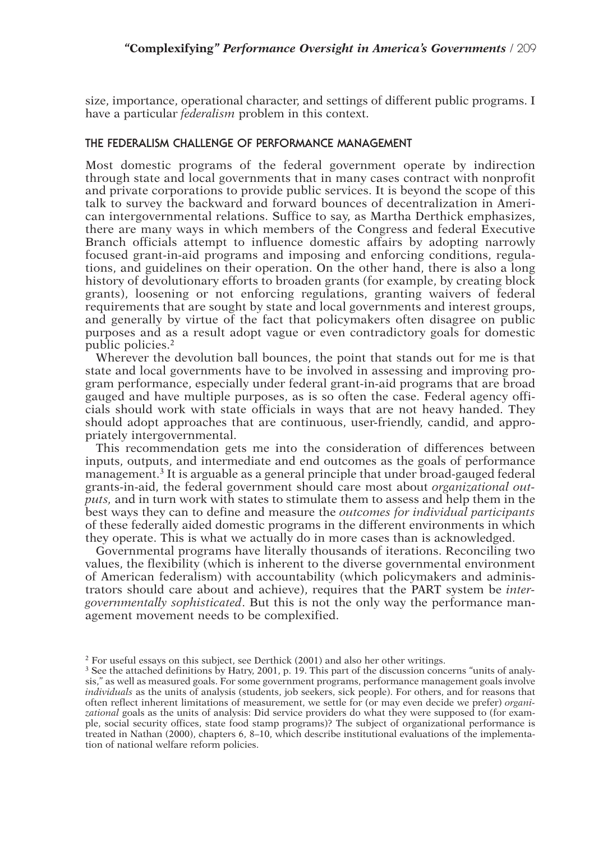size, importance, operational character, and settings of different public programs. I have a particular *federalism* problem in this context.

### **THE FEDERALISM CHALLENGE OF PERFORMANCE MANAGEMENT**

Most domestic programs of the federal government operate by indirection through state and local governments that in many cases contract with nonprofit and private corporations to provide public services. It is beyond the scope of this talk to survey the backward and forward bounces of decentralization in American intergovernmental relations. Suffice to say, as Martha Derthick emphasizes, there are many ways in which members of the Congress and federal Executive Branch officials attempt to influence domestic affairs by adopting narrowly focused grant-in-aid programs and imposing and enforcing conditions, regulations, and guidelines on their operation. On the other hand, there is also a long history of devolutionary efforts to broaden grants (for example, by creating block grants), loosening or not enforcing regulations, granting waivers of federal requirements that are sought by state and local governments and interest groups, and generally by virtue of the fact that policymakers often disagree on public purposes and as a result adopt vague or even contradictory goals for domestic public policies.2

Wherever the devolution ball bounces, the point that stands out for me is that state and local governments have to be involved in assessing and improving program performance, especially under federal grant-in-aid programs that are broad gauged and have multiple purposes, as is so often the case. Federal agency officials should work with state officials in ways that are not heavy handed. They should adopt approaches that are continuous, user-friendly, candid, and appropriately intergovernmental.

This recommendation gets me into the consideration of differences between inputs, outputs, and intermediate and end outcomes as the goals of performance management.3 It is arguable as a general principle that under broad-gauged federal grants-in-aid, the federal government should care most about *organizational outputs,* and in turn work with states to stimulate them to assess and help them in the best ways they can to define and measure the *outcomes for individual participants* of these federally aided domestic programs in the different environments in which they operate. This is what we actually do in more cases than is acknowledged.

Governmental programs have literally thousands of iterations. Reconciling two values, the flexibility (which is inherent to the diverse governmental environment of American federalism) with accountability (which policymakers and administrators should care about and achieve), requires that the PART system be *intergovernmentally sophisticated*. But this is not the only way the performance management movement needs to be complexified.

<sup>2</sup> For useful essays on this subject, see Derthick (2001) and also her other writings.

<sup>&</sup>lt;sup>3</sup> See the attached definitions by Hatry, 2001, p. 19. This part of the discussion concerns "units of analysis," as well as measured goals. For some government programs, performance management goals involve *individuals* as the units of analysis (students, job seekers, sick people). For others, and for reasons that often reflect inherent limitations of measurement, we settle for (or may even decide we prefer) *organizational* goals as the units of analysis: Did service providers do what they were supposed to (for example, social security offices, state food stamp programs)? The subject of organizational performance is treated in Nathan (2000), chapters 6, 8–10, which describe institutional evaluations of the implementation of national welfare reform policies.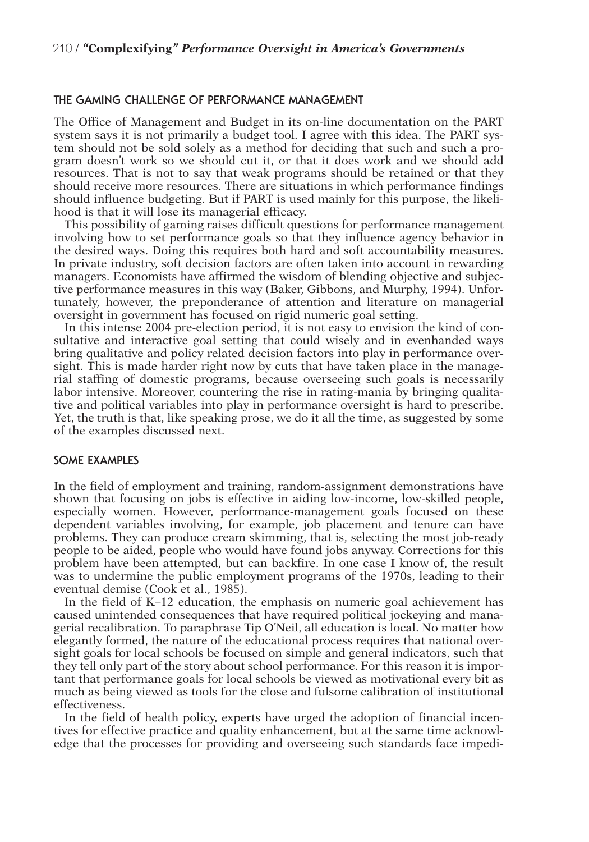#### **THE GAMING CHALLENGE OF PERFORMANCE MANAGEMENT**

The Office of Management and Budget in its on-line documentation on the PART system says it is not primarily a budget tool. I agree with this idea. The PART system should not be sold solely as a method for deciding that such and such a program doesn't work so we should cut it, or that it does work and we should add resources. That is not to say that weak programs should be retained or that they should receive more resources. There are situations in which performance findings should influence budgeting. But if PART is used mainly for this purpose, the likelihood is that it will lose its managerial efficacy.

This possibility of gaming raises difficult questions for performance management involving how to set performance goals so that they influence agency behavior in the desired ways. Doing this requires both hard and soft accountability measures. In private industry, soft decision factors are often taken into account in rewarding managers. Economists have affirmed the wisdom of blending objective and subjective performance measures in this way (Baker, Gibbons, and Murphy, 1994). Unfortunately, however, the preponderance of attention and literature on managerial oversight in government has focused on rigid numeric goal setting.

In this intense 2004 pre-election period, it is not easy to envision the kind of consultative and interactive goal setting that could wisely and in evenhanded ways bring qualitative and policy related decision factors into play in performance oversight. This is made harder right now by cuts that have taken place in the managerial staffing of domestic programs, because overseeing such goals is necessarily labor intensive. Moreover, countering the rise in rating-mania by bringing qualitative and political variables into play in performance oversight is hard to prescribe. Yet, the truth is that, like speaking prose, we do it all the time, as suggested by some of the examples discussed next.

#### **SOME EXAMPLES**

In the field of employment and training, random-assignment demonstrations have shown that focusing on jobs is effective in aiding low-income, low-skilled people, especially women. However, performance-management goals focused on these dependent variables involving, for example, job placement and tenure can have problems. They can produce cream skimming, that is, selecting the most job-ready people to be aided, people who would have found jobs anyway. Corrections for this problem have been attempted, but can backfire. In one case I know of, the result was to undermine the public employment programs of the 1970s, leading to their eventual demise (Cook et al., 1985).

In the field of K–12 education, the emphasis on numeric goal achievement has caused unintended consequences that have required political jockeying and managerial recalibration. To paraphrase Tip O'Neil, all education is local. No matter how elegantly formed, the nature of the educational process requires that national oversight goals for local schools be focused on simple and general indicators, such that they tell only part of the story about school performance. For this reason it is important that performance goals for local schools be viewed as motivational every bit as much as being viewed as tools for the close and fulsome calibration of institutional effectiveness.

In the field of health policy, experts have urged the adoption of financial incentives for effective practice and quality enhancement, but at the same time acknowledge that the processes for providing and overseeing such standards face impedi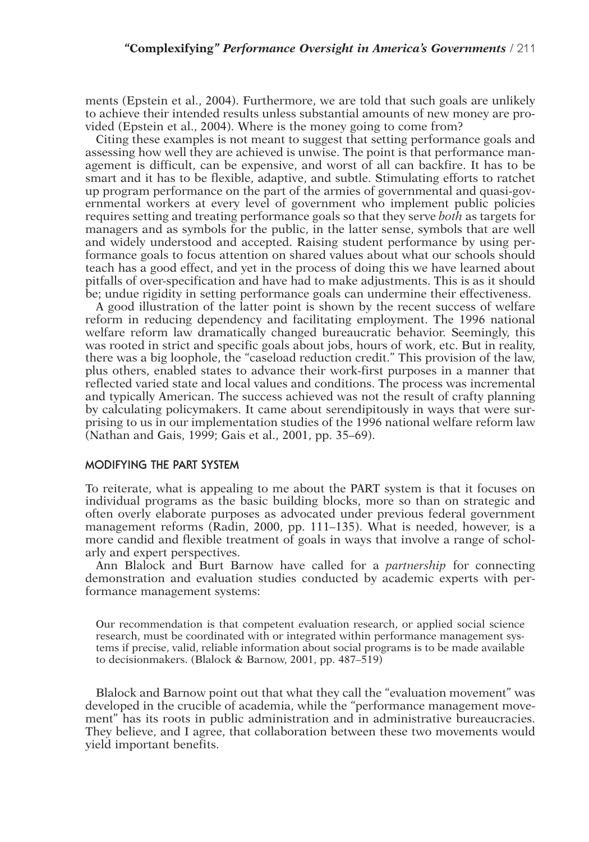ments (Epstein et al., 2004). Furthermore, we are told that such goals are unlikely to achieve their intended results unless substantial amounts of new money are provided (Epstein et al., 2004). Where is the money going to come from?

Citing these examples is not meant to suggest that setting performance goals and assessing how well they are achieved is unwise. The point is that performance management is difficult, can be expensive, and worst of all can backfire. It has to be smart and it has to be flexible, adaptive, and subtle. Stimulating efforts to ratchet up program performance on the part of the armies of governmental and quasi-governmental workers at every level of government who implement public policies requires setting and treating performance goals so that they serve *both* as targets for managers and as symbols for the public, in the latter sense, symbols that are well and widely understood and accepted. Raising student performance by using performance goals to focus attention on shared values about what our schools should teach has a good effect, and yet in the process of doing this we have learned about pitfalls of over-specification and have had to make adjustments. This is as it should be; undue rigidity in setting performance goals can undermine their effectiveness.

A good illustration of the latter point is shown by the recent success of welfare reform in reducing dependency and facilitating employment. The 1996 national welfare reform law dramatically changed bureaucratic behavior. Seemingly, this was rooted in strict and specific goals about jobs, hours of work, etc. But in reality, there was a big loophole, the "caseload reduction credit." This provision of the law, plus others, enabled states to advance their work-first purposes in a manner that reflected varied state and local values and conditions. The process was incremental and typically American. The success achieved was not the result of crafty planning by calculating policymakers. It came about serendipitously in ways that were surprising to us in our implementation studies of the 1996 national welfare reform law (Nathan and Gais, 1999; Gais et al., 2001, pp. 35–69).

# **MODIFYING THE PART SYSTEM**

To reiterate, what is appealing to me about the PART system is that it focuses on individual programs as the basic building blocks, more so than on strategic and often overly elaborate purposes as advocated under previous federal government management reforms (Radin, 2000, pp. 111–135). What is needed, however, is a more candid and flexible treatment of goals in ways that involve a range of scholarly and expert perspectives.

Ann Blalock and Burt Barnow have called for a *partnership* for connecting demonstration and evaluation studies conducted by academic experts with performance management systems:

Our recommendation is that competent evaluation research, or applied social science research, must be coordinated with or integrated within performance management systems if precise, valid, reliable information about social programs is to be made available to decisionmakers. (Blalock & Barnow, 2001, pp. 487–519)

Blalock and Barnow point out that what they call the "evaluation movement" was developed in the crucible of academia, while the "performance management movement" has its roots in public administration and in administrative bureaucracies. They believe, and I agree, that collaboration between these two movements would yield important benefits.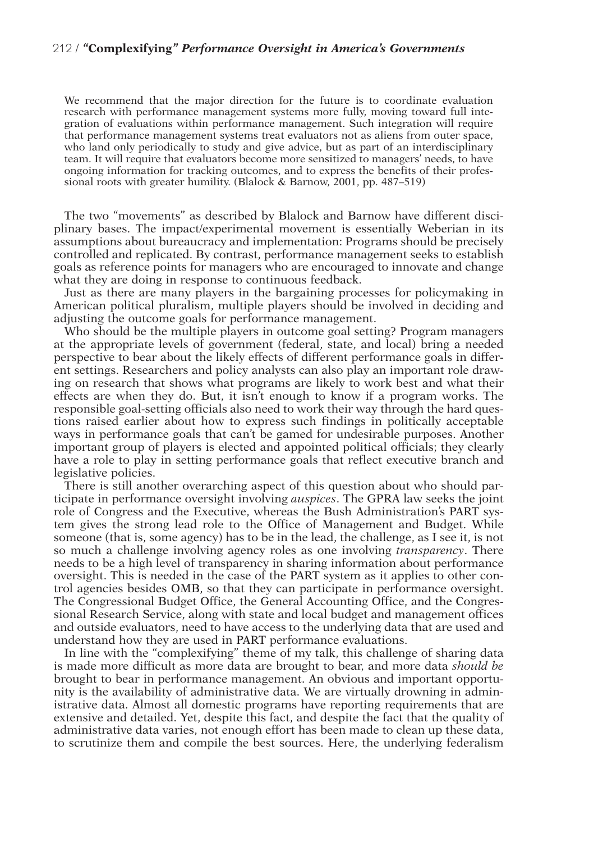We recommend that the major direction for the future is to coordinate evaluation research with performance management systems more fully, moving toward full integration of evaluations within performance management. Such integration will require that performance management systems treat evaluators not as aliens from outer space, who land only periodically to study and give advice, but as part of an interdisciplinary team. It will require that evaluators become more sensitized to managers' needs, to have ongoing information for tracking outcomes, and to express the benefits of their professional roots with greater humility. (Blalock & Barnow, 2001, pp. 487–519)

The two "movements" as described by Blalock and Barnow have different disciplinary bases. The impact/experimental movement is essentially Weberian in its assumptions about bureaucracy and implementation: Programs should be precisely controlled and replicated. By contrast, performance management seeks to establish goals as reference points for managers who are encouraged to innovate and change what they are doing in response to continuous feedback.

Just as there are many players in the bargaining processes for policymaking in American political pluralism, multiple players should be involved in deciding and adjusting the outcome goals for performance management.

Who should be the multiple players in outcome goal setting? Program managers at the appropriate levels of government (federal, state, and local) bring a needed perspective to bear about the likely effects of different performance goals in different settings. Researchers and policy analysts can also play an important role drawing on research that shows what programs are likely to work best and what their effects are when they do. But, it isn't enough to know if a program works. The responsible goal-setting officials also need to work their way through the hard questions raised earlier about how to express such findings in politically acceptable ways in performance goals that can't be gamed for undesirable purposes. Another important group of players is elected and appointed political officials; they clearly have a role to play in setting performance goals that reflect executive branch and legislative policies.

There is still another overarching aspect of this question about who should participate in performance oversight involving *auspices*. The GPRA law seeks the joint role of Congress and the Executive, whereas the Bush Administration's PART system gives the strong lead role to the Office of Management and Budget. While someone (that is, some agency) has to be in the lead, the challenge, as I see it, is not so much a challenge involving agency roles as one involving *transparency*. There needs to be a high level of transparency in sharing information about performance oversight. This is needed in the case of the PART system as it applies to other control agencies besides OMB, so that they can participate in performance oversight. The Congressional Budget Office, the General Accounting Office, and the Congressional Research Service, along with state and local budget and management offices and outside evaluators, need to have access to the underlying data that are used and understand how they are used in PART performance evaluations.

In line with the "complexifying" theme of my talk, this challenge of sharing data is made more difficult as more data are brought to bear, and more data *should be* brought to bear in performance management. An obvious and important opportunity is the availability of administrative data. We are virtually drowning in administrative data. Almost all domestic programs have reporting requirements that are extensive and detailed. Yet, despite this fact, and despite the fact that the quality of administrative data varies, not enough effort has been made to clean up these data, to scrutinize them and compile the best sources. Here, the underlying federalism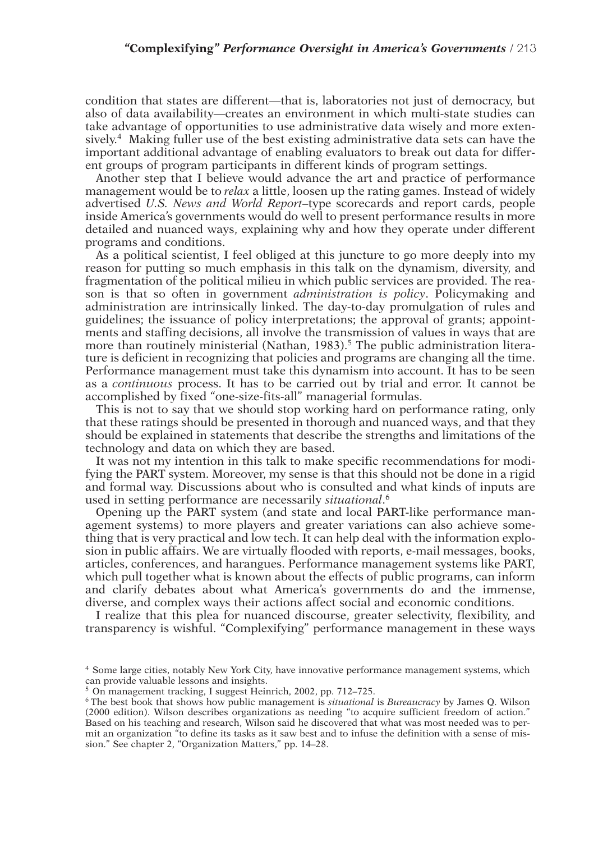condition that states are different—that is, laboratories not just of democracy, but also of data availability—creates an environment in which multi-state studies can take advantage of opportunities to use administrative data wisely and more extensively.4 Making fuller use of the best existing administrative data sets can have the important additional advantage of enabling evaluators to break out data for different groups of program participants in different kinds of program settings.

Another step that I believe would advance the art and practice of performance management would be to *relax* a little, loosen up the rating games. Instead of widely advertised *U.S. News and World Report*–type scorecards and report cards, people inside America's governments would do well to present performance results in more detailed and nuanced ways, explaining why and how they operate under different programs and conditions.

As a political scientist, I feel obliged at this juncture to go more deeply into my reason for putting so much emphasis in this talk on the dynamism, diversity, and fragmentation of the political milieu in which public services are provided. The reason is that so often in government *administration is policy*. Policymaking and administration are intrinsically linked. The day-to-day promulgation of rules and guidelines; the issuance of policy interpretations; the approval of grants; appointments and staffing decisions, all involve the transmission of values in ways that are more than routinely ministerial (Nathan,  $1983$ ).<sup>5</sup> The public administration literature is deficient in recognizing that policies and programs are changing all the time. Performance management must take this dynamism into account. It has to be seen as a *continuous* process. It has to be carried out by trial and error. It cannot be accomplished by fixed "one-size-fits-all" managerial formulas.

This is not to say that we should stop working hard on performance rating, only that these ratings should be presented in thorough and nuanced ways, and that they should be explained in statements that describe the strengths and limitations of the technology and data on which they are based.

It was not my intention in this talk to make specific recommendations for modifying the PART system. Moreover, my sense is that this should not be done in a rigid and formal way. Discussions about who is consulted and what kinds of inputs are used in setting performance are necessarily *situational*. 6

Opening up the PART system (and state and local PART-like performance management systems) to more players and greater variations can also achieve something that is very practical and low tech. It can help deal with the information explosion in public affairs. We are virtually flooded with reports, e-mail messages, books, articles, conferences, and harangues. Performance management systems like PART, which pull together what is known about the effects of public programs, can inform and clarify debates about what America's governments do and the immense, diverse, and complex ways their actions affect social and economic conditions.

I realize that this plea for nuanced discourse, greater selectivity, flexibility, and transparency is wishful. "Complexifying" performance management in these ways

<sup>4</sup> Some large cities, notably New York City, have innovative performance management systems, which can provide valuable lessons and insights.

<sup>5</sup> On management tracking, I suggest Heinrich, 2002, pp. 712–725.

<sup>6</sup> The best book that shows how public management is *situational* is *Bureaucracy* by James Q. Wilson (2000 edition). Wilson describes organizations as needing "to acquire sufficient freedom of action." Based on his teaching and research, Wilson said he discovered that what was most needed was to permit an organization "to define its tasks as it saw best and to infuse the definition with a sense of mission." See chapter 2, "Organization Matters," pp. 14–28.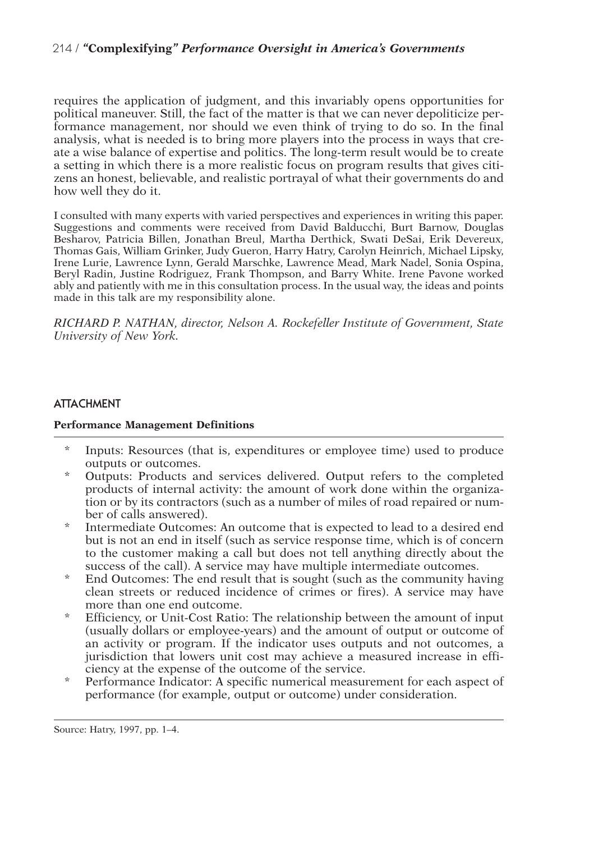requires the application of judgment, and this invariably opens opportunities for political maneuver. Still, the fact of the matter is that we can never depoliticize performance management, nor should we even think of trying to do so. In the final analysis, what is needed is to bring more players into the process in ways that create a wise balance of expertise and politics. The long-term result would be to create a setting in which there is a more realistic focus on program results that gives citizens an honest, believable, and realistic portrayal of what their governments do and how well they do it.

I consulted with many experts with varied perspectives and experiences in writing this paper. Suggestions and comments were received from David Balducchi, Burt Barnow, Douglas Besharov, Patricia Billen, Jonathan Breul, Martha Derthick, Swati DeSai, Erik Devereux, Thomas Gais, William Grinker, Judy Gueron, Harry Hatry, Carolyn Heinrich, Michael Lipsky, Irene Lurie, Lawrence Lynn, Gerald Marschke, Lawrence Mead, Mark Nadel, Sonia Ospina, Beryl Radin, Justine Rodriguez, Frank Thompson, and Barry White. Irene Pavone worked ably and patiently with me in this consultation process. In the usual way, the ideas and points made in this talk are my responsibility alone.

*RICHARD P. NATHAN, director, Nelson A. Rockefeller Institute of Government, State University of New York.*

# **ATTACHMENT**

# **Performance Management Definitions**

- \* Inputs: Resources (that is, expenditures or employee time) used to produce outputs or outcomes.
- \* Outputs: Products and services delivered. Output refers to the completed products of internal activity: the amount of work done within the organization or by its contractors (such as a number of miles of road repaired or number of calls answered).
- \* Intermediate Outcomes: An outcome that is expected to lead to a desired end but is not an end in itself (such as service response time, which is of concern to the customer making a call but does not tell anything directly about the success of the call). A service may have multiple intermediate outcomes.
- \* End Outcomes: The end result that is sought (such as the community having clean streets or reduced incidence of crimes or fires). A service may have more than one end outcome.
- \* Efficiency, or Unit-Cost Ratio: The relationship between the amount of input (usually dollars or employee-years) and the amount of output or outcome of an activity or program. If the indicator uses outputs and not outcomes, a jurisdiction that lowers unit cost may achieve a measured increase in efficiency at the expense of the outcome of the service.
- \* Performance Indicator: A specific numerical measurement for each aspect of performance (for example, output or outcome) under consideration.